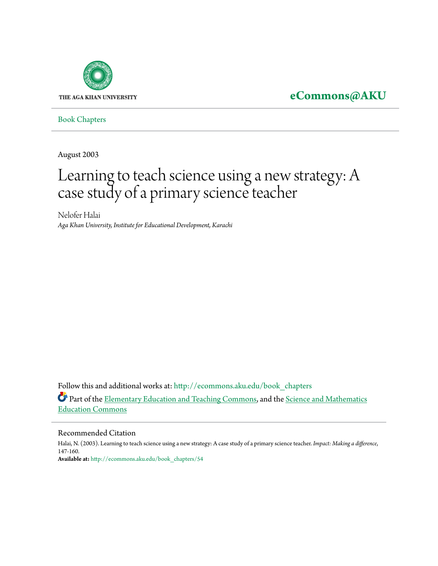

## **[eCommons@AKU](http://ecommons.aku.edu?utm_source=ecommons.aku.edu%2Fbook_chapters%2F54&utm_medium=PDF&utm_campaign=PDFCoverPages)**

[Book Chapters](http://ecommons.aku.edu/book_chapters?utm_source=ecommons.aku.edu%2Fbook_chapters%2F54&utm_medium=PDF&utm_campaign=PDFCoverPages)

August 2003

# Learning to teach science using a new strategy: A case study of a primary science teacher

Nelofer Halai *Aga Khan University, Institute for Educational Development, Karachi*

Follow this and additional works at: [http://ecommons.aku.edu/book\\_chapters](http://ecommons.aku.edu/book_chapters?utm_source=ecommons.aku.edu%2Fbook_chapters%2F54&utm_medium=PDF&utm_campaign=PDFCoverPages) Part of the **Elementary Education and Teaching Commons**, and the **[Science and Mathematics](http://network.bepress.com/hgg/discipline/800?utm_source=ecommons.aku.edu%2Fbook_chapters%2F54&utm_medium=PDF&utm_campaign=PDFCoverPages)** [Education Commons](http://network.bepress.com/hgg/discipline/800?utm_source=ecommons.aku.edu%2Fbook_chapters%2F54&utm_medium=PDF&utm_campaign=PDFCoverPages)

#### Recommended Citation

Halai, N. (2003). Learning to teach science using a new strategy: A case study of a primary science teacher. *Impact: Making a difference*, 147-160. **Available at:** [http://ecommons.aku.edu/book\\_chapters/54](http://ecommons.aku.edu/book_chapters/54)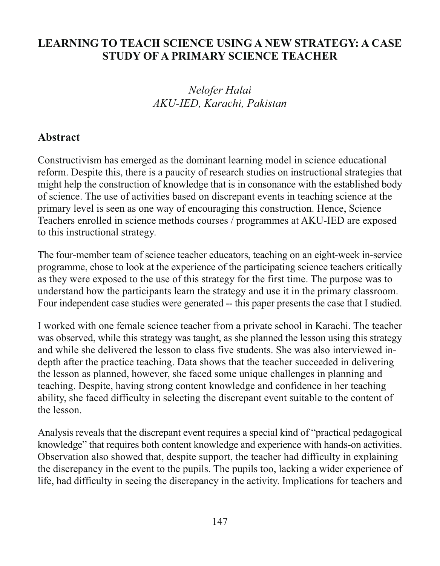#### LEARNING TO TEACH SCIENCE USING A NEW STRATEGY: A CASE **STUDY OF A PRIMARY SCIENCE TEACHER**

### Nelofer Halai AKU-IED, Karachi, Pakistan

#### Abstract

Constructivism has emerged as the dominant learning model in science educational reform. Despite this, there is a paucity of research studies on instructional strategies that might help the construction of knowledge that is in consonance with the established body of science. The use of activities based on discrepant events in teaching science at the primary level is seen as one way of encouraging this construction. Hence, Science Teachers enrolled in science methods courses / programmes at AKU-IED are exposed to this instructional strategy.

The four-member team of science teacher educators, teaching on an eight-week in-service programme, chose to look at the experience of the participating science teachers critically as they were exposed to the use of this strategy for the first time. The purpose was to understand how the participants learn the strategy and use it in the primary classroom. Four independent case studies were generated -- this paper presents the case that I studied.

I worked with one female science teacher from a private school in Karachi. The teacher was observed, while this strategy was taught, as she planned the lesson using this strategy and while she delivered the lesson to class five students. She was also interviewed indepth after the practice teaching. Data shows that the teacher succeeded in delivering the lesson as planned, however, she faced some unique challenges in planning and teaching. Despite, having strong content knowledge and confidence in her teaching ability, she faced difficulty in selecting the discrepant event suitable to the content of the lesson.

Analysis reveals that the discrepant event requires a special kind of "practical pedagogical knowledge" that requires both content knowledge and experience with hands-on activities. Observation also showed that, despite support, the teacher had difficulty in explaining the discrepancy in the event to the pupils. The pupils too, lacking a wider experience of life, had difficulty in seeing the discrepancy in the activity. Implications for teachers and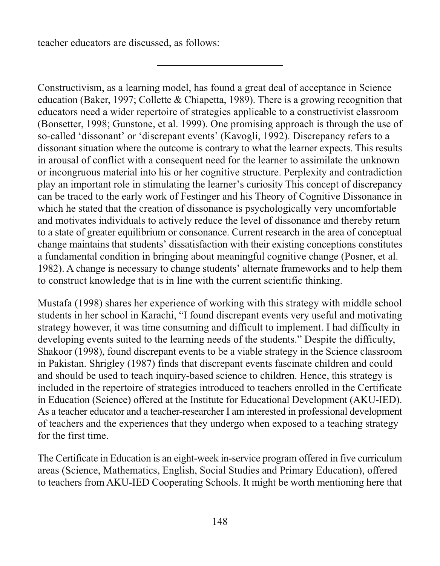teacher educators are discussed, as follows:

Constructivism, as a learning model, has found a great deal of acceptance in Science education (Baker, 1997; Collette & Chiapetta, 1989). There is a growing recognition that educators need a wider repertoire of strategies applicable to a constructivist classroom (Bonsetter, 1998; Gunstone, et al. 1999). One promising approach is through the use of so-called 'dissonant' or 'discrepant events' (Kavogli, 1992). Discrepancy refers to a dissonant situation where the outcome is contrary to what the learner expects. This results in arousal of conflict with a consequent need for the learner to assimilate the unknown or incongruous material into his or her cognitive structure. Perplexity and contradiction play an important role in stimulating the learner's curiosity This concept of discrepancy can be traced to the early work of Festinger and his Theory of Cognitive Dissonance in which he stated that the creation of dissonance is psychologically very uncomfortable and motivates individuals to actively reduce the level of dissonance and thereby return to a state of greater equilibrium or consonance. Current research in the area of conceptual change maintains that students' dissatisfaction with their existing conceptions constitutes a fundamental condition in bringing about meaningful cognitive change (Posner, et al. 1982). A change is necessary to change students' alternate frameworks and to help them to construct knowledge that is in line with the current scientific thinking.

Mustafa (1998) shares her experience of working with this strategy with middle school students in her school in Karachi, "I found discrepant events very useful and motivating strategy however, it was time consuming and difficult to implement. I had difficulty in developing events suited to the learning needs of the students." Despite the difficulty, Shakoor (1998), found discrepant events to be a viable strategy in the Science classroom in Pakistan. Shrigley (1987) finds that discrepant events fascinate children and could and should be used to teach inquiry-based science to children. Hence, this strategy is included in the repertoire of strategies introduced to teachers enrolled in the Certificate in Education (Science) offered at the Institute for Educational Development (AKU-IED). As a teacher educator and a teacher-researcher I am interested in professional development of teachers and the experiences that they undergo when exposed to a teaching strategy for the first time

The Certificate in Education is an eight-week in-service program offered in five curriculum areas (Science, Mathematics, English, Social Studies and Primary Education), offered to teachers from AKU-IED Cooperating Schools. It might be worth mentioning here that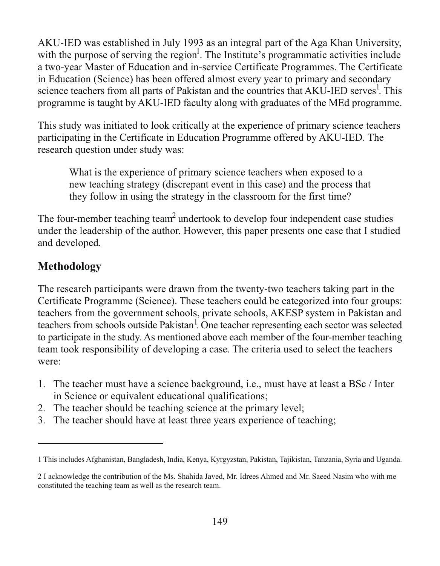AKU-IED was established in July 1993 as an integral part of the Aga Khan University, with the purpose of serving the region<sup>1</sup>. The Institute's programmatic activities include a two-year Master of Education and in-service Certificate Programmes. The Certificate in Education (Science) has been offered almost every year to primary and secondary science teachers from all parts of Pakistan and the countries that AKU-IED serves<sup>1</sup>. This programme is taught by AKU-IED faculty along with graduates of the MEd programme.

This study was initiated to look critically at the experience of primary science teachers participating in the Certificate in Education Programme offered by AKU-IED. The research question under study was:

What is the experience of primary science teachers when exposed to a new teaching strategy (discrepant event in this case) and the process that they follow in using the strategy in the classroom for the first time?

The four-member teaching team<sup>2</sup> undertook to develop four independent case studies under the leadership of the author. However, this paper presents one case that I studied and developed.

### **Methodology**

The research participants were drawn from the twenty-two teachers taking part in the Certificate Programme (Science). These teachers could be categorized into four groups: teachers from the government schools, private schools, AKESP system in Pakistan and teachers from schools outside Pakistan<sup>1</sup>. One teacher representing each sector was selected to participate in the study. As mentioned above each member of the four-member teaching team took responsibility of developing a case. The criteria used to select the teachers were:

- 1. The teacher must have a science background, i.e., must have at least a BSc / Inter in Science or equivalent educational qualifications;
- 2. The teacher should be teaching science at the primary level;
- 3. The teacher should have at least three years experience of teaching;

<sup>1</sup> This includes Afghanistan, Bangladesh, India, Kenya, Kyrgyzstan, Pakistan, Tajikistan, Tanzania, Syria and Uganda.

<sup>2</sup> I acknowledge the contribution of the Ms. Shahida Javed, Mr. Idrees Ahmed and Mr. Saeed Nasim who with me constituted the teaching team as well as the research team.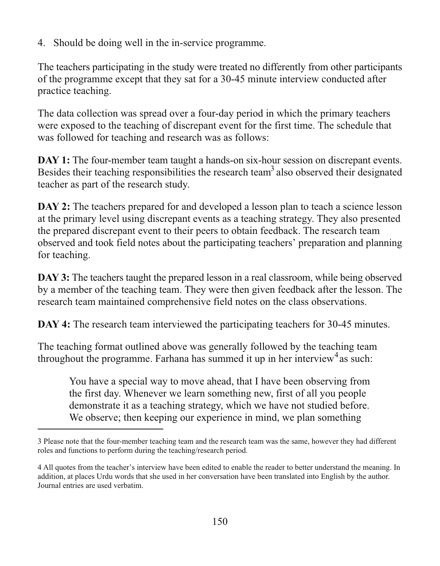4. Should be doing well in the in-service programme.

The teachers participating in the study were treated no differently from other participants of the programme except that they sat for a 30-45 minute interview conducted after practice teaching.

The data collection was spread over a four-day period in which the primary teachers were exposed to the teaching of discrepant event for the first time. The schedule that was followed for teaching and research was as follows:

DAY 1: The four-member team taught a hands-on six-hour session on discrepant events. Besides their teaching responsibilities the research team<sup>3</sup> also observed their designated teacher as part of the research study.

**DAY 2:** The teachers prepared for and developed a lesson plan to teach a science lesson at the primary level using discrepant events as a teaching strategy. They also presented the prepared discrepant event to their peers to obtain feedback. The research team observed and took field notes about the participating teachers' preparation and planning for teaching.

**DAY 3:** The teachers taught the prepared lesson in a real classroom, while being observed by a member of the teaching team. They were then given feedback after the lesson. The research team maintained comprehensive field notes on the class observations.

**DAY 4:** The research team interviewed the participating teachers for 30-45 minutes.

The teaching format outlined above was generally followed by the teaching team throughout the programme. Farhana has summed it up in her interview<sup>4</sup> as such:

You have a special way to move ahead, that I have been observing from the first day. Whenever we learn something new, first of all you people demonstrate it as a teaching strategy, which we have not studied before. We observe; then keeping our experience in mind, we plan something

<sup>3</sup> Please note that the four-member teaching team and the research team was the same, however they had different roles and functions to perform during the teaching/research period.

<sup>4</sup> All quotes from the teacher's interview have been edited to enable the reader to better understand the meaning. In addition, at places Urdu words that she used in her conversation have been translated into English by the author. Journal entries are used verbatim.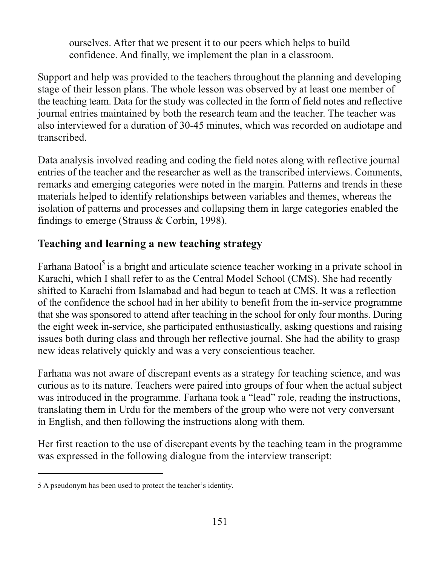ourselves. After that we present it to our peers which helps to build confidence. And finally, we implement the plan in a classroom.

Support and help was provided to the teachers throughout the planning and developing stage of their lesson plans. The whole lesson was observed by at least one member of the teaching team. Data for the study was collected in the form of field notes and reflective journal entries maintained by both the research team and the teacher. The teacher was also interviewed for a duration of 30-45 minutes, which was recorded on audiotape and transcribed.

Data analysis involved reading and coding the field notes along with reflective journal entries of the teacher and the researcher as well as the transcribed interviews. Comments, remarks and emerging categories were noted in the margin. Patterns and trends in these materials helped to identify relationships between variables and themes, whereas the isolation of patterns and processes and collapsing them in large categories enabled the findings to emerge (Strauss  $&$  Corbin, 1998).

#### Teaching and learning a new teaching strategy

Farhana Batool<sup>5</sup> is a bright and articulate science teacher working in a private school in Karachi, which I shall refer to as the Central Model School (CMS). She had recently shifted to Karachi from Islamabad and had begun to teach at CMS. It was a reflection of the confidence the school had in her ability to benefit from the in-service programme that she was sponsored to attend after teaching in the school for only four months. During the eight week in-service, she participated enthusiastically, asking questions and raising issues both during class and through her reflective journal. She had the ability to grasp new ideas relatively quickly and was a very conscientious teacher.

Farhana was not aware of discrepant events as a strategy for teaching science, and was curious as to its nature. Teachers were paired into groups of four when the actual subject was introduced in the programme. Farhana took a "lead" role, reading the instructions, translating them in Urdu for the members of the group who were not very conversant in English, and then following the instructions along with them.

Her first reaction to the use of discrepant events by the teaching team in the programme was expressed in the following dialogue from the interview transcript:

<sup>5</sup> A pseudonym has been used to protect the teacher's identity.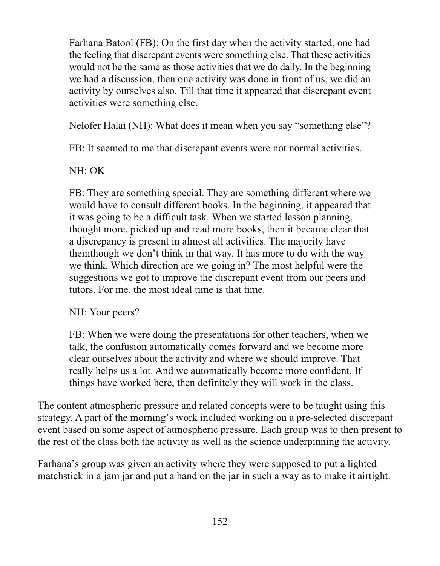Farhana Batool (FB): On the first day when the activity started, one had the feeling that discrepant events were something else. That these activities would not be the same as those activities that we do daily. In the beginning we had a discussion, then one activity was done in front of us, we did an activity by ourselves also. Till that time it appeared that discrepant event activities were something else.

Nelofer Halai (NH): What does it mean when you say "something else"?

FB: It seemed to me that discrepant events were not normal activities.

NH: OK

FB: They are something special. They are something different where we would have to consult different books. In the beginning, it appeared that it was going to be a difficult task. When we started lesson planning, thought more, picked up and read more books, then it became clear that a discrepancy is present in almost all activities. The majority have them though we don't think in that way. It has more to do with the way we think. Which direction are we going in? The most helpful were the suggestions we got to improve the discrepant event from our peers and tutors. For me, the most ideal time is that time.

NH: Your peers?

FB: When we were doing the presentations for other teachers, when we talk, the confusion automatically comes forward and we become more clear ourselves about the activity and where we should improve. That really helps us a lot. And we automatically become more confident. If things have worked here, then definitely they will work in the class.

The content atmospheric pressure and related concepts were to be taught using this strategy. A part of the morning's work included working on a pre-selected discrepant event based on some aspect of atmospheric pressure. Each group was to then present to the rest of the class both the activity as well as the science underpinning the activity.

Farhana's group was given an activity where they were supposed to put a lighted matchstick in a jam jar and put a hand on the jar in such a way as to make it airtight.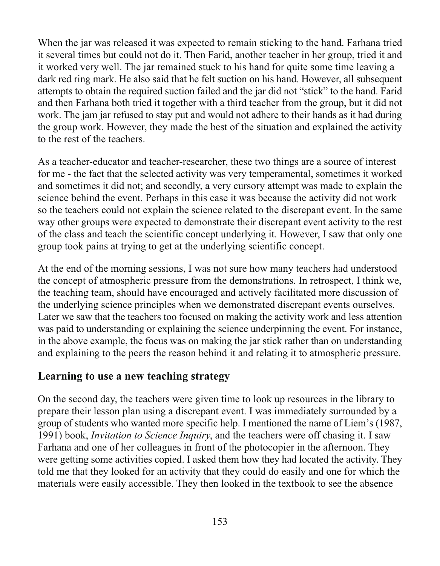When the jar was released it was expected to remain sticking to the hand. Farhana tried it several times but could not do it. Then Farid, another teacher in her group, tried it and it worked very well. The jar remained stuck to his hand for quite some time leaving a dark red ring mark. He also said that he felt suction on his hand. However, all subsequent attempts to obtain the required suction failed and the jar did not "stick" to the hand. Farid and then Farhana both tried it together with a third teacher from the group, but it did not work. The jam jar refused to stay put and would not adhere to their hands as it had during the group work. However, they made the best of the situation and explained the activity to the rest of the teachers.

As a teacher-educator and teacher-researcher, these two things are a source of interest for me - the fact that the selected activity was very temperamental, sometimes it worked and sometimes it did not; and secondly, a very cursory attempt was made to explain the science behind the event. Perhaps in this case it was because the activity did not work so the teachers could not explain the science related to the discrepant event. In the same way other groups were expected to demonstrate their discrepant event activity to the rest of the class and teach the scientific concept underlying it. However, I saw that only one group took pains at trying to get at the underlying scientific concept.

At the end of the morning sessions, I was not sure how many teachers had understood the concept of atmospheric pressure from the demonstrations. In retrospect, I think we, the teaching team, should have encouraged and actively facilitated more discussion of the underlying science principles when we demonstrated discrepant events ourselves. Later we saw that the teachers too focused on making the activity work and less attention was paid to understanding or explaining the science underpinning the event. For instance, in the above example, the focus was on making the jar stick rather than on understanding and explaining to the peers the reason behind it and relating it to atmospheric pressure.

#### Learning to use a new teaching strategy

On the second day, the teachers were given time to look up resources in the library to prepare their lesson plan using a discrepant event. I was immediately surrounded by a group of students who wanted more specific help. I mentioned the name of Liem's (1987, 1991) book, *Invitation to Science Inquiry*, and the teachers were off chasing it. I saw Farhana and one of her colleagues in front of the photocopier in the afternoon. They were getting some activities copied. I asked them how they had located the activity. They told me that they looked for an activity that they could do easily and one for which the materials were easily accessible. They then looked in the textbook to see the absence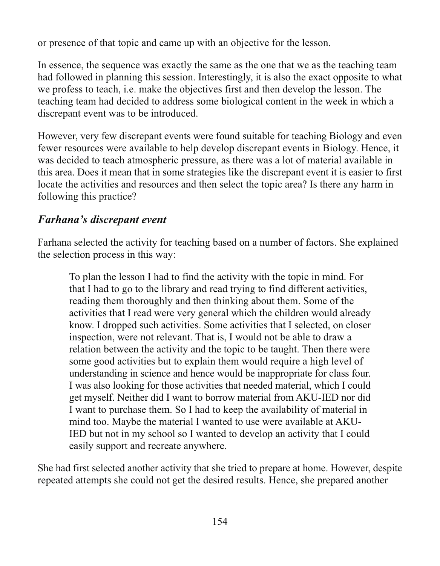or presence of that topic and came up with an objective for the lesson.

In essence, the sequence was exactly the same as the one that we as the teaching team had followed in planning this session. Interestingly, it is also the exact opposite to what we profess to teach, *i.e.* make the objectives first and then develop the lesson. The teaching team had decided to address some biological content in the week in which a discrepant event was to be introduced.

However, very few discrepant events were found suitable for teaching Biology and even fewer resources were available to help develop discrepant events in Biology. Hence, it was decided to teach atmospheric pressure, as there was a lot of material available in this area. Does it mean that in some strategies like the discrepant event it is easier to first locate the activities and resources and then select the topic area? Is there any harm in following this practice?

#### Farhana's discrepant event

Farhana selected the activity for teaching based on a number of factors. She explained the selection process in this way:

To plan the lesson I had to find the activity with the topic in mind. For that I had to go to the library and read trying to find different activities, reading them thoroughly and then thinking about them. Some of the activities that I read were very general which the children would already know. I dropped such activities. Some activities that I selected, on closer inspection, were not relevant. That is, I would not be able to draw a relation between the activity and the topic to be taught. Then there were some good activities but to explain them would require a high level of understanding in science and hence would be inappropriate for class four. I was also looking for those activities that needed material, which I could get myself. Neither did I want to borrow material from AKU-IED nor did I want to purchase them. So I had to keep the availability of material in mind too. Maybe the material I wanted to use were available at AKU-IED but not in my school so I wanted to develop an activity that I could easily support and recreate anywhere.

She had first selected another activity that she tried to prepare at home. However, despite repeated attempts she could not get the desired results. Hence, she prepared another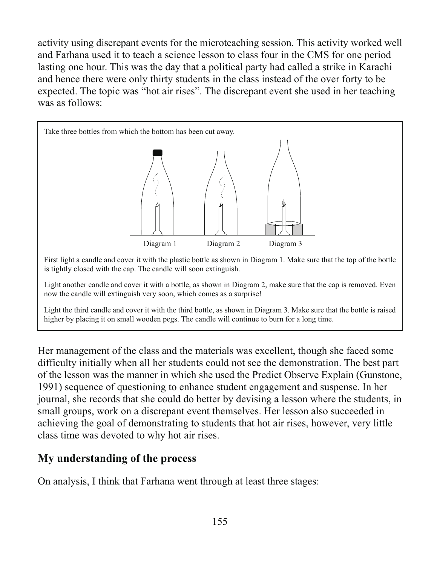activity using discrepant events for the microteaching session. This activity worked well and Farhana used it to teach a science lesson to class four in the CMS for one period lasting one hour. This was the day that a political party had called a strike in Karachi and hence there were only thirty students in the class instead of the over forty to be expected. The topic was "hot air rises". The discrepant event she used in her teaching was as follows:



Her management of the class and the materials was excellent, though she faced some difficulty initially when all her students could not see the demonstration. The best part of the lesson was the manner in which she used the Predict Observe Explain (Gunstone, 1991) sequence of questioning to enhance student engagement and suspense. In her journal, she records that she could do better by devising a lesson where the students, in small groups, work on a discrepant event themselves. Her lesson also succeeded in achieving the goal of demonstrating to students that hot air rises, however, very little class time was devoted to why hot air rises.

#### My understanding of the process

On analysis, I think that Farhana went through at least three stages: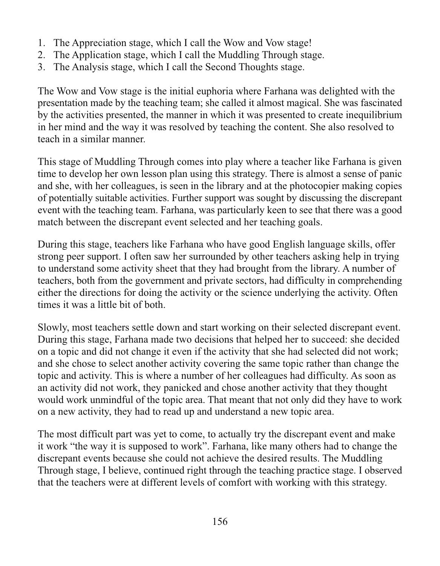- 1. The Appreciation stage, which I call the Wow and Vow stage!
- 2. The Application stage, which I call the Muddling Through stage.
- 3. The Analysis stage, which I call the Second Thoughts stage.

The Wow and Vow stage is the initial euphoria where Farhana was delighted with the presentation made by the teaching team; she called it almost magical. She was fascinated by the activities presented, the manner in which it was presented to create inequilibrium in her mind and the way it was resolved by teaching the content. She also resolved to teach in a similar manner.

This stage of Muddling Through comes into play where a teacher like Farhana is given time to develop her own lesson plan using this strategy. There is almost a sense of panic and she, with her colleagues, is seen in the library and at the photocopier making copies of potentially suitable activities. Further support was sought by discussing the discrepant event with the teaching team. Farhana, was particularly keen to see that there was a good match between the discrepant event selected and her teaching goals.

During this stage, teachers like Farhana who have good English language skills, offer strong peer support. I often saw her surrounded by other teachers asking help in trying to understand some activity sheet that they had brought from the library. A number of teachers, both from the government and private sectors, had difficulty in comprehending either the directions for doing the activity or the science underlying the activity. Often times it was a little bit of both.

Slowly, most teachers settle down and start working on their selected discrepant event. During this stage, Farhana made two decisions that helped her to succeed: she decided on a topic and did not change it even if the activity that she had selected did not work; and she chose to select another activity covering the same topic rather than change the topic and activity. This is where a number of her colleagues had difficulty. As soon as an activity did not work, they panicked and chose another activity that they thought would work unmindful of the topic area. That meant that not only did they have to work on a new activity, they had to read up and understand a new topic area.

The most difficult part was yet to come, to actually try the discrepant event and make it work "the way it is supposed to work". Farhana, like many others had to change the discrepant events because she could not achieve the desired results. The Muddling Through stage, I believe, continued right through the teaching practice stage. I observed that the teachers were at different levels of comfort with working with this strategy.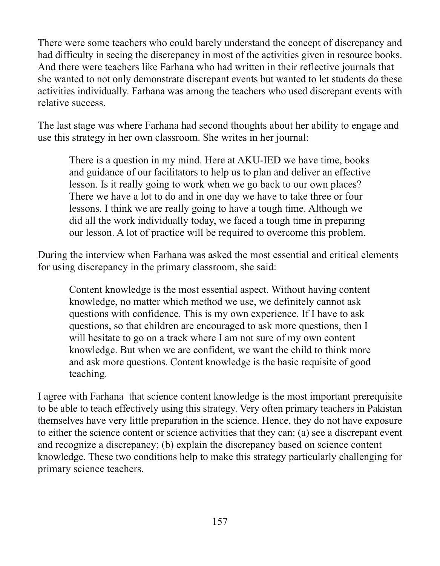There were some teachers who could barely understand the concept of discrepancy and had difficulty in seeing the discrepancy in most of the activities given in resource books. And there were teachers like Farhana who had written in their reflective journals that she wanted to not only demonstrate discrepant events but wanted to let students do these activities individually. Farhana was among the teachers who used discrepant events with relative success.

The last stage was where Farhana had second thoughts about her ability to engage and use this strategy in her own classroom. She writes in her journal:

There is a question in my mind. Here at AKU-IED we have time, books and guidance of our facilitators to help us to plan and deliver an effective lesson. Is it really going to work when we go back to our own places? There we have a lot to do and in one day we have to take three or four lessons. I think we are really going to have a tough time. Although we did all the work individually today, we faced a tough time in preparing our lesson. A lot of practice will be required to overcome this problem.

During the interview when Farhana was asked the most essential and critical elements for using discrepancy in the primary classroom, she said:

Content knowledge is the most essential aspect. Without having content knowledge, no matter which method we use, we definitely cannot ask questions with confidence. This is my own experience. If I have to ask questions, so that children are encouraged to ask more questions, then I will hesitate to go on a track where I am not sure of my own content knowledge. But when we are confident, we want the child to think more and ask more questions. Content knowledge is the basic requisite of good teaching.

I agree with Farhana that science content knowledge is the most important prerequisite to be able to teach effectively using this strategy. Very often primary teachers in Pakistan themselves have very little preparation in the science. Hence, they do not have exposure to either the science content or science activities that they can: (a) see a discrepant event and recognize a discrepancy; (b) explain the discrepancy based on science content knowledge. These two conditions help to make this strategy particularly challenging for primary science teachers.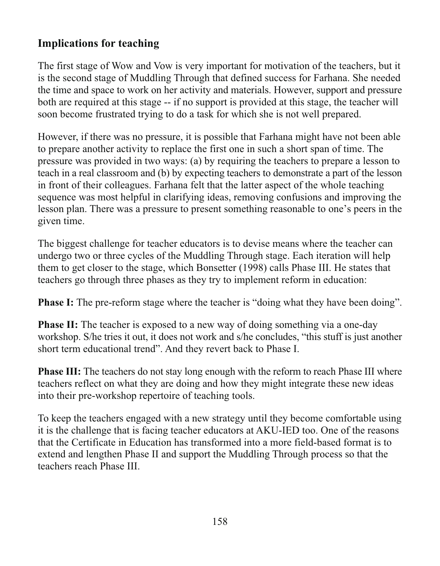### **Implications for teaching**

The first stage of Wow and Vow is very important for motivation of the teachers, but it is the second stage of Muddling Through that defined success for Farhana. She needed the time and space to work on her activity and materials. However, support and pressure both are required at this stage -- if no support is provided at this stage, the teacher will soon become frustrated trying to do a task for which she is not well prepared.

However, if there was no pressure, it is possible that Farhana might have not been able to prepare another activity to replace the first one in such a short span of time. The pressure was provided in two ways: (a) by requiring the teachers to prepare a lesson to teach in a real classroom and (b) by expecting teachers to demonstrate a part of the lesson in front of their colleagues. Farhana felt that the latter aspect of the whole teaching sequence was most helpful in clarifying ideas, removing confusions and improving the lesson plan. There was a pressure to present something reasonable to one's peers in the given time.

The biggest challenge for teacher educators is to devise means where the teacher can undergo two or three cycles of the Muddling Through stage. Each iteration will help them to get closer to the stage, which Bonsetter (1998) calls Phase III. He states that teachers go through three phases as they try to implement reform in education:

**Phase I:** The pre-reform stage where the teacher is "doing what they have been doing".

**Phase II:** The teacher is exposed to a new way of doing something via a one-day workshop. S/he tries it out, it does not work and s/he concludes, "this stuff is just another short term educational trend". And they revert back to Phase I.

**Phase III:** The teachers do not stay long enough with the reform to reach Phase III where teachers reflect on what they are doing and how they might integrate these new ideas into their pre-workshop repertoire of teaching tools.

To keep the teachers engaged with a new strategy until they become comfortable using it is the challenge that is facing teacher educators at AKU-IED too. One of the reasons that the Certificate in Education has transformed into a more field-based format is to extend and lengthen Phase II and support the Muddling Through process so that the teachers reach Phase III.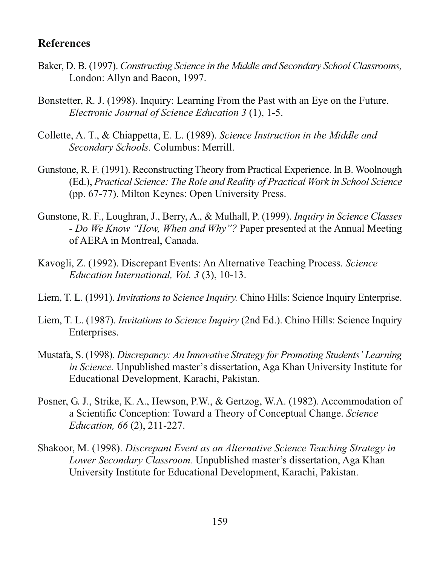#### **References**

- Baker, D. B. (1997). Constructing Science in the Middle and Secondary School Classrooms, London: Allyn and Bacon, 1997.
- Bonstetter, R. J. (1998). Inquiry: Learning From the Past with an Eye on the Future. Electronic Journal of Science Education 3 (1), 1-5.
- Collette, A. T., & Chiappetta, E. L. (1989). Science Instruction in the Middle and Secondary Schools. Columbus: Merrill.
- Gunstone, R. F. (1991). Reconstructing Theory from Practical Experience. In B. Woolnough (Ed.), Practical Science: The Role and Reality of Practical Work in School Science (pp. 67-77). Milton Keynes: Open University Press.
- Gunstone, R. F., Loughran, J., Berry, A., & Mulhall, P. (1999). *Inquiry in Science Classes* - Do We Know "How, When and Why"? Paper presented at the Annual Meeting of AERA in Montreal, Canada.
- Kavogli, Z. (1992). Discrepant Events: An Alternative Teaching Process. Science Education International, Vol. 3 (3), 10-13.
- Liem, T. L. (1991). *Invitations to Science Inquiry*. Chino Hills: Science Inquiry Enterprise.
- Liem, T. L. (1987). *Invitations to Science Inquiry* (2nd Ed.). Chino Hills: Science Inquiry Enterprises.
- Mustafa, S. (1998). Discrepancy: An Innovative Strategy for Promoting Students' Learning in Science. Unpublished master's dissertation, Aga Khan University Institute for Educational Development, Karachi, Pakistan.
- Posner, G. J., Strike, K. A., Hewson, P.W., & Gertzog, W.A. (1982). Accommodation of a Scientific Conception: Toward a Theory of Conceptual Change. Science Education, 66 (2), 211-227.
- Shakoor, M. (1998). Discrepant Event as an Alternative Science Teaching Strategy in Lower Secondary Classroom. Unpublished master's dissertation, Aga Khan University Institute for Educational Development, Karachi, Pakistan.